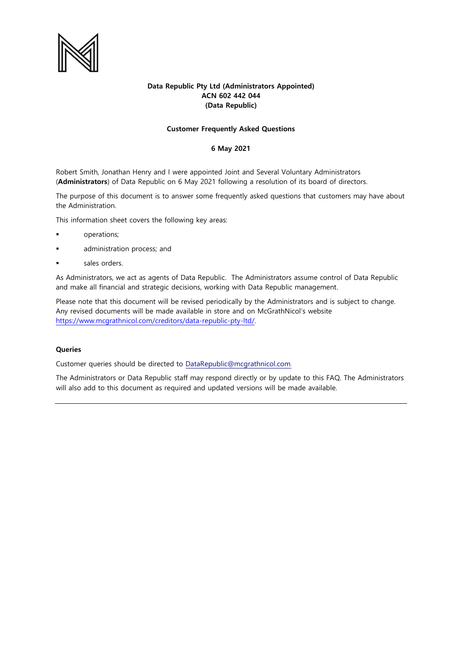

# **Data Republic Pty Ltd (Administrators Appointed) ACN 602 442 044 (Data Republic)**

## **Customer Frequently Asked Questions**

## **6 May 2021**

Robert Smith, Jonathan Henry and I were appointed Joint and Several Voluntary Administrators (**Administrators**) of Data Republic on 6 May 2021 following a resolution of its board of directors.

The purpose of this document is to answer some frequently asked questions that customers may have about the Administration.

This information sheet covers the following key areas:

- operations;
- administration process; and
- sales orders.

As Administrators, we act as agents of Data Republic. The Administrators assume control of Data Republic and make all financial and strategic decisions, working with Data Republic management.

Please note that this document will be revised periodically by the Administrators and is subject to change. Any revised documents will be made available in store and on McGrathNicol's website [https://www.mcgrathnicol.com/creditors/data-republic-pty-ltd/.](https://www.mcgrathnicol.com/creditors/data-republic-pty-ltd/) 

## **Queries**

Customer queries should be directed to [DataRepublic@mcgrathnicol.com.](mailto:DataRepublic@mcgrathnicol.com) 

The Administrators or Data Republic staff may respond directly or by update to this FAQ. The Administrators will also add to this document as required and updated versions will be made available.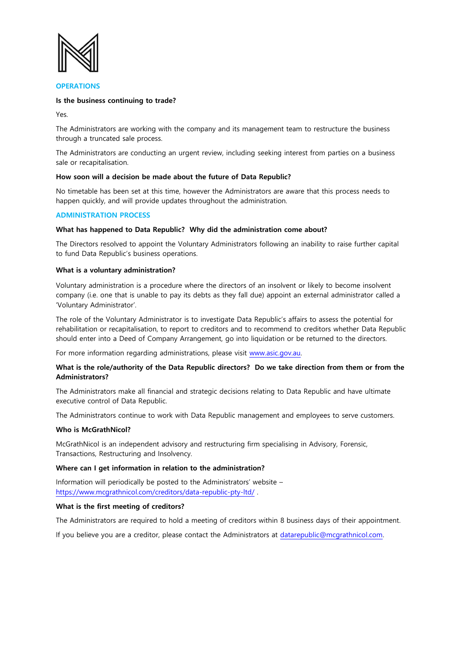

### **OPERATIONS**

### **Is the business continuing to trade?**

Yes.

The Administrators are working with the company and its management team to restructure the business through a truncated sale process.

The Administrators are conducting an urgent review, including seeking interest from parties on a business sale or recapitalisation.

## **How soon will a decision be made about the future of Data Republic?**

No timetable has been set at this time, however the Administrators are aware that this process needs to happen quickly, and will provide updates throughout the administration.

## **ADMINISTRATION PROCESS**

## **What has happened to Data Republic? Why did the administration come about?**

The Directors resolved to appoint the Voluntary Administrators following an inability to raise further capital to fund Data Republic's business operations.

### **What is a voluntary administration?**

Voluntary administration is a procedure where the directors of an insolvent or likely to become insolvent company (i.e. one that is unable to pay its debts as they fall due) appoint an external administrator called a 'Voluntary Administrator'.

The role of the Voluntary Administrator is to investigate Data Republic's affairs to assess the potential for rehabilitation or recapitalisation, to report to creditors and to recommend to creditors whether Data Republic should enter into a Deed of Company Arrangement, go into liquidation or be returned to the directors.

For more information regarding administrations, please visit [www.asic.gov.au.](http://www.asic.gov.au/)

## **What is the role/authority of the Data Republic directors? Do we take direction from them or from the Administrators?**

The Administrators make all financial and strategic decisions relating to Data Republic and have ultimate executive control of Data Republic.

The Administrators continue to work with Data Republic management and employees to serve customers.

### **Who is McGrathNicol?**

McGrathNicol is an independent advisory and restructuring firm specialising in Advisory, Forensic, Transactions, Restructuring and Insolvency.

### **Where can I get information in relation to the administration?**

Information will periodically be posted to the Administrators' website – <https://www.mcgrathnicol.com/creditors/data-republic-pty-ltd/> .

### **What is the first meeting of creditors?**

The Administrators are required to hold a meeting of creditors within 8 business days of their appointment.

If you believe you are a creditor, please contact the Administrators at [datarepublic@mcgrathnicol.com.](mailto:datarepublic@mcgrathnicol.com)